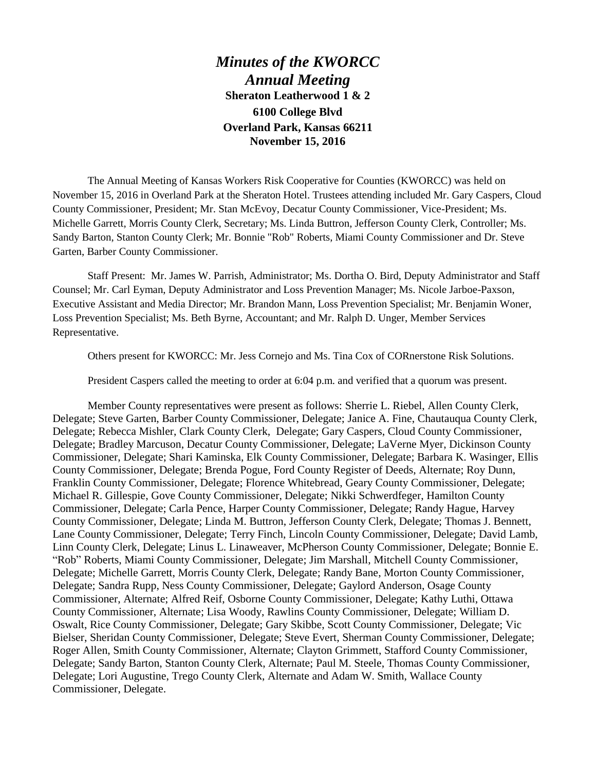*Minutes of the KWORCC Annual Meeting* **Sheraton Leatherwood 1 & 2 6100 College Blvd Overland Park, Kansas 66211 November 15, 2016**

The Annual Meeting of Kansas Workers Risk Cooperative for Counties (KWORCC) was held on November 15, 2016 in Overland Park at the Sheraton Hotel. Trustees attending included Mr. Gary Caspers, Cloud County Commissioner, President; Mr. Stan McEvoy, Decatur County Commissioner, Vice-President; Ms. Michelle Garrett, Morris County Clerk, Secretary; Ms. Linda Buttron, Jefferson County Clerk, Controller; Ms. Sandy Barton, Stanton County Clerk; Mr. Bonnie "Rob" Roberts, Miami County Commissioner and Dr. Steve Garten, Barber County Commissioner.

Staff Present: Mr. James W. Parrish, Administrator; Ms. Dortha O. Bird, Deputy Administrator and Staff Counsel; Mr. Carl Eyman, Deputy Administrator and Loss Prevention Manager; Ms. Nicole Jarboe-Paxson, Executive Assistant and Media Director; Mr. Brandon Mann, Loss Prevention Specialist; Mr. Benjamin Woner, Loss Prevention Specialist; Ms. Beth Byrne, Accountant; and Mr. Ralph D. Unger, Member Services Representative.

Others present for KWORCC: Mr. Jess Cornejo and Ms. Tina Cox of CORnerstone Risk Solutions.

President Caspers called the meeting to order at 6:04 p.m. and verified that a quorum was present.

Member County representatives were present as follows: Sherrie L. Riebel, Allen County Clerk, Delegate; Steve Garten, Barber County Commissioner, Delegate; Janice A. Fine, Chautauqua County Clerk, Delegate; Rebecca Mishler, Clark County Clerk, Delegate; Gary Caspers, Cloud County Commissioner, Delegate; Bradley Marcuson, Decatur County Commissioner, Delegate; LaVerne Myer, Dickinson County Commissioner, Delegate; Shari Kaminska, Elk County Commissioner, Delegate; Barbara K. Wasinger, Ellis County Commissioner, Delegate; Brenda Pogue, Ford County Register of Deeds, Alternate; Roy Dunn, Franklin County Commissioner, Delegate; Florence Whitebread, Geary County Commissioner, Delegate; Michael R. Gillespie, Gove County Commissioner, Delegate; Nikki Schwerdfeger, Hamilton County Commissioner, Delegate; Carla Pence, Harper County Commissioner, Delegate; Randy Hague, Harvey County Commissioner, Delegate; Linda M. Buttron, Jefferson County Clerk, Delegate; Thomas J. Bennett, Lane County Commissioner, Delegate; Terry Finch, Lincoln County Commissioner, Delegate; David Lamb, Linn County Clerk, Delegate; Linus L. Linaweaver, McPherson County Commissioner, Delegate; Bonnie E. "Rob" Roberts, Miami County Commissioner, Delegate; Jim Marshall, Mitchell County Commissioner, Delegate; Michelle Garrett, Morris County Clerk, Delegate; Randy Bane, Morton County Commissioner, Delegate; Sandra Rupp, Ness County Commissioner, Delegate; Gaylord Anderson, Osage County Commissioner, Alternate; Alfred Reif, Osborne County Commissioner, Delegate; Kathy Luthi, Ottawa County Commissioner, Alternate; Lisa Woody, Rawlins County Commissioner, Delegate; William D. Oswalt, Rice County Commissioner, Delegate; Gary Skibbe, Scott County Commissioner, Delegate; Vic Bielser, Sheridan County Commissioner, Delegate; Steve Evert, Sherman County Commissioner, Delegate; Roger Allen, Smith County Commissioner, Alternate; Clayton Grimmett, Stafford County Commissioner, Delegate; Sandy Barton, Stanton County Clerk, Alternate; Paul M. Steele, Thomas County Commissioner, Delegate; Lori Augustine, Trego County Clerk, Alternate and Adam W. Smith, Wallace County Commissioner, Delegate.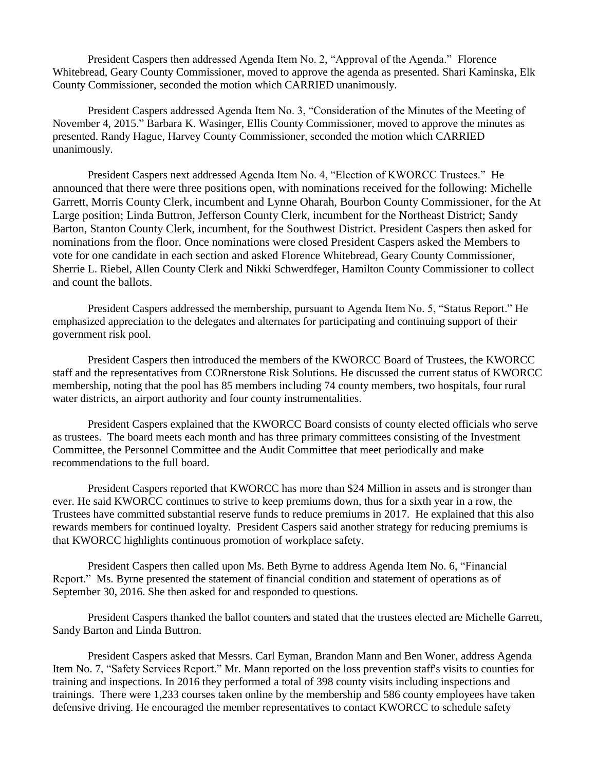President Caspers then addressed Agenda Item No. 2, "Approval of the Agenda." Florence Whitebread, Geary County Commissioner, moved to approve the agenda as presented. Shari Kaminska, Elk County Commissioner, seconded the motion which CARRIED unanimously.

President Caspers addressed Agenda Item No. 3, "Consideration of the Minutes of the Meeting of November 4, 2015." Barbara K. Wasinger, Ellis County Commissioner, moved to approve the minutes as presented. Randy Hague, Harvey County Commissioner, seconded the motion which CARRIED unanimously.

President Caspers next addressed Agenda Item No. 4, "Election of KWORCC Trustees." He announced that there were three positions open, with nominations received for the following: Michelle Garrett, Morris County Clerk, incumbent and Lynne Oharah, Bourbon County Commissioner, for the At Large position; Linda Buttron, Jefferson County Clerk, incumbent for the Northeast District; Sandy Barton, Stanton County Clerk, incumbent, for the Southwest District. President Caspers then asked for nominations from the floor. Once nominations were closed President Caspers asked the Members to vote for one candidate in each section and asked Florence Whitebread, Geary County Commissioner, Sherrie L. Riebel, Allen County Clerk and Nikki Schwerdfeger, Hamilton County Commissioner to collect and count the ballots.

President Caspers addressed the membership, pursuant to Agenda Item No. 5, "Status Report." He emphasized appreciation to the delegates and alternates for participating and continuing support of their government risk pool.

President Caspers then introduced the members of the KWORCC Board of Trustees, the KWORCC staff and the representatives from CORnerstone Risk Solutions. He discussed the current status of KWORCC membership, noting that the pool has 85 members including 74 county members, two hospitals, four rural water districts, an airport authority and four county instrumentalities.

President Caspers explained that the KWORCC Board consists of county elected officials who serve as trustees. The board meets each month and has three primary committees consisting of the Investment Committee, the Personnel Committee and the Audit Committee that meet periodically and make recommendations to the full board.

President Caspers reported that KWORCC has more than \$24 Million in assets and is stronger than ever. He said KWORCC continues to strive to keep premiums down, thus for a sixth year in a row, the Trustees have committed substantial reserve funds to reduce premiums in 2017. He explained that this also rewards members for continued loyalty. President Caspers said another strategy for reducing premiums is that KWORCC highlights continuous promotion of workplace safety.

President Caspers then called upon Ms. Beth Byrne to address Agenda Item No. 6, "Financial Report." Ms. Byrne presented the statement of financial condition and statement of operations as of September 30, 2016. She then asked for and responded to questions.

President Caspers thanked the ballot counters and stated that the trustees elected are Michelle Garrett, Sandy Barton and Linda Buttron.

President Caspers asked that Messrs. Carl Eyman, Brandon Mann and Ben Woner, address Agenda Item No. 7, "Safety Services Report." Mr. Mann reported on the loss prevention staff's visits to counties for training and inspections. In 2016 they performed a total of 398 county visits including inspections and trainings. There were 1,233 courses taken online by the membership and 586 county employees have taken defensive driving. He encouraged the member representatives to contact KWORCC to schedule safety